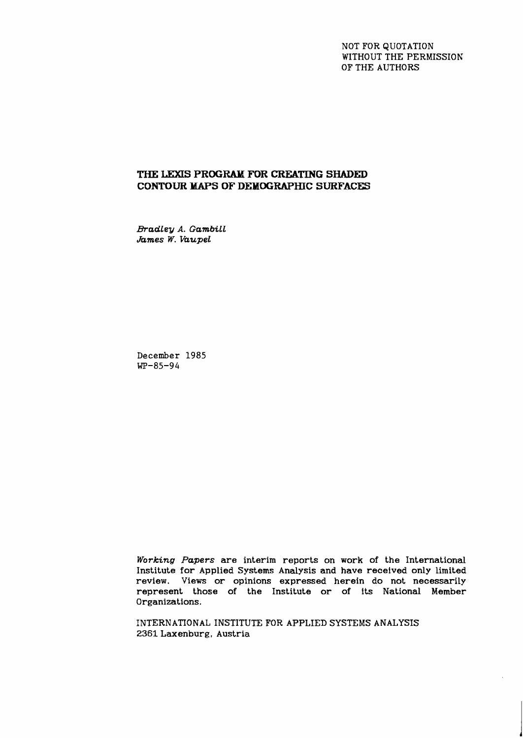NOT FOR QUOTATION WITHOUT THE PERMISSION OF THE AUTHORS

# **THE LEXIS PROGRAM FUR CREATING SHADED CONTOUR MAPS OF DEMOGRAPHIC SURFACES**

*Bradley A. GambiLL James W. VaupeL* 

**December 1985 WP-85-94** 

**Working** *Papers* are interim reports on work of the International Institute for Applied Systems Analysis and have received only limited review. Views or opinions expressed herein do not necessarily represent those of the Institute or of its National Member Organizations.

INTERNATIONAL INSTITUTE FOR APPLIED SYSTEMS ANALYSIS 2361 Laxenburg, Austria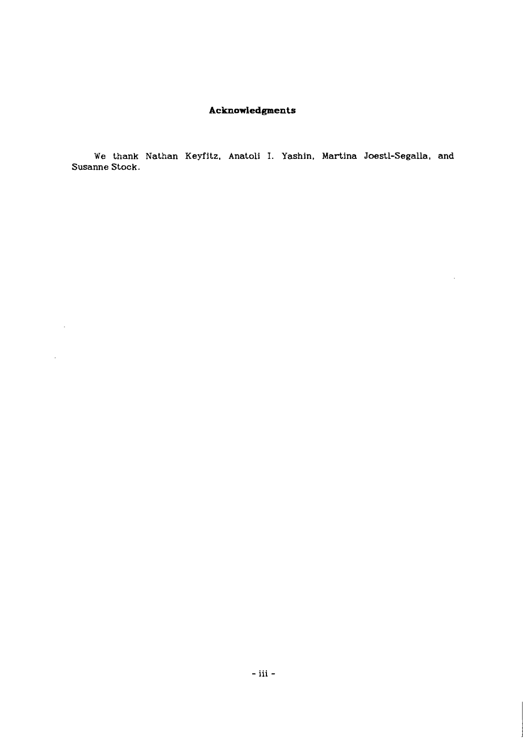# **Acknowledgments**

**We thank Nathan Keyfitz, Anatoli I. Yashin, Martina Joestl-Segalla, and Susanne Stock.** 

 $\sim 10^{-1}$ 

 $\Delta \sim 1$ 

 $\bar{\bar{z}}$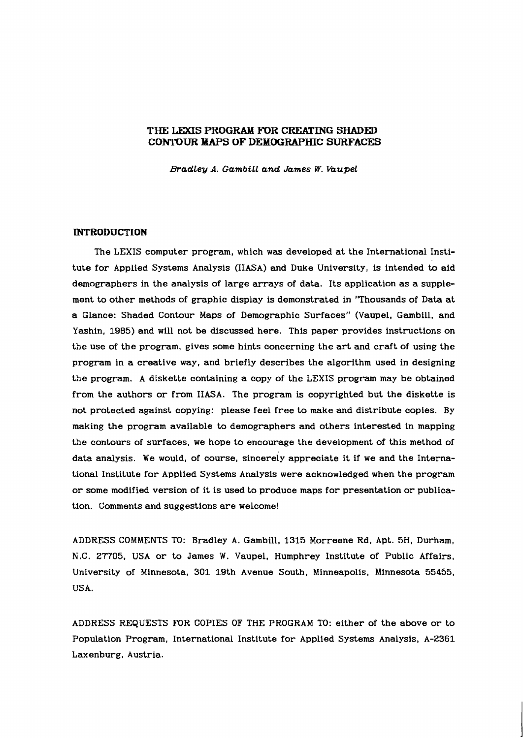# **THE LG)(IS PROGRAM FOR CREATING SHADED CONTOUR MAPS OF DEMOGRAPHIC SURFACES**

*Bradley A. Gambill and James W. Vaupel* 

# **INTRODUCTION**

The LEXIS computer program, which was developed at the International Institute for Applied Systems Analysis (IIASA) and Duke University, is intended to aid demographers in the analysis of large arrays of data. Its application as a supplement to other methods of graphic display is demonstrated in 'Thousands of Data at a Glance: Shaded Contour Maps of Demographic Surfaces" (Vaupel, Gambill, and Yashin, 1985) and will not be discussed here. This paper provides instructions on the use of the program, gives some hints concerning the art and craft of using the program in a creative way, and briefly describes the algorithm used in designing the program. A diskette containing a copy of the LEXIS program may be obtained from the authors or from IIASA. The program is copyrighted but the diskette is not protected against copying: please feel free to make and distribute copies. By making the program available to demographers and others interested in mapping the contours of surfaces, we hope to encourage the development of this method of data analysis. We would, of course, sincerely appreciate it if we and the International Institute for Applied Systems Analysis were acknowledged when the program or some modified version of it is used to produce maps for presentation or publication. Comments and suggestions are welcome!

ADDRESS COMMENTS TO: Bradley A. Gambill, 1315 Morreene Rd, Apt. 5H, Durham, N.C. 27705. USA or to James W. Vaupel, Humphrey Institute of Public Affairs, University of Minnesota, 301 19th Avenue South, Minneapolis, Minnesota 55455, USA.

ADDRESS REQUESTS FOR COPIES OF THE PROGRAM TO: either of the above or to Population Program, International Institute for Applied Systems Analysis, A-2361 Laxenburg, Austria.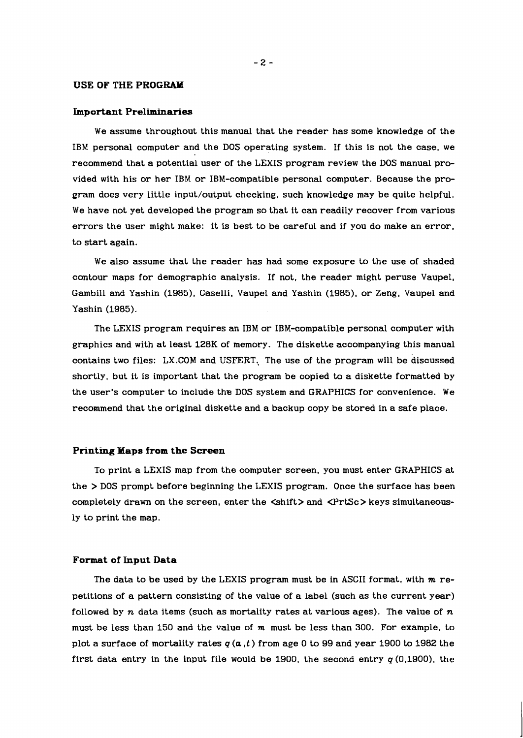# **USE OF THE PROGRAM**

# **Important Preliminaries**

We assume throughout this manual that the reader has some knowledge of the IBM personal computer and the DOS operating system. If this is not the case, we recommend that a potential user of the LEXIS program review the DOS manual provided with his or her IBM or IBM-compatible personal computer. Because the program does very little input/output checking, such knowledge may be quite helpful. We have not yet developed the program so that it can readily recover from various errors the user might make: it is best to be careful and if you do make an error, to start again.

We also assume that the reader has had some exposure to the use of shaded contour maps for demographic analysis. If not, the reader might peruse Vaupel, Gambill and Yashin (1985). Caselli, Vaupel and Yashin (1985), or Zeng, Vaupel and Yashin (1985).

The LEXIS program requires an IBM or IBM-compatible personal computer with graphics and with at least 128K of memory. The diskette accompanying this manual contains two files: LX.COM and USFERT, The use of the program will be discussed shortly, but it is important that the program be copied to a diskette formatted by the user's computer to include the DOS system and GRAPHICS for convenience. We recommend that the original diskette and a backup copy be stored in a safe place.

# **Printing Yaps from the Screen**

To print a LEXIS map from the computer screen, you must enter GRAPHICS at the > DOS prompt before beginning the LEXIS program. Once the surface has been completely drawn on the screen, enter the  $\langle$ shift $\rangle$  and  $\langle$ PrtSc $\rangle$ keys simultaneously to print the map.

#### **Format of Input Data**

The data to be used by the LEXIS program must be in ASCII format, with **m** repetitions of a pattern consisting of the value of a label (such as the current year) foliowed by n data items (such as mortality rates at various ages). The value of  $n$ must be less than 150 and the value of  $m$  must be less than 300. For example, to plot a surface of mortality rates q **(a** ,t) from age 0 to 99 and year 1900 to 1982 the first data entry in the input file would be 1900, the second entry  $q(0,1900)$ , the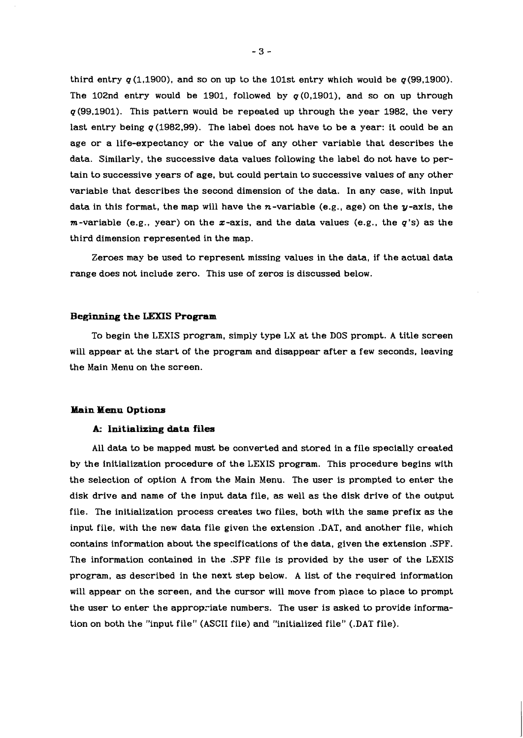third entry  $q(1,1900)$ , and so on up to the 101st entry which would be  $q(99,1900)$ . The 102nd entry would be 1901, followed by  $q(0.1901)$ , and so on up through  $q$ (99.1901). This pattern would be repeated up through the year 1982, the very last entry being  $q(1982,99)$ . The label does not have to be a year: it could be an age or a life-expectancy or the value of any other variable that describes the data. Similarly, the successive data values following the label do not have to pertain to successive years of age. but could pertain to successive values of any other variable that describes the second dimension of the data. In any case, with input data in this format, the map will have the n-variable (e.g., age) on the  $y$ -axis, the  $m$ -variable (e.g., year) on the  $x$ -axis, and the data values (e.g., the  $q$ 's) as the third dimension represented in the map.

Zeroes may be used to represent missing values in the data, if the actual data range does not include zero. This use of zeros is discussed below.

# **Beginning the LeXIS Program**

To begin the LEXIS program, simply type LX at the DOS prompt. A title screen will appear at the start of the program and disappear after a few seconds, leaving the Main Menu on the screen.

# **Main Menu Options**

# **A- Initializing data files**

All data to be mapped must be converted and stored in a file specially created by the initialization procedure of the LEXIS program. This procedure begins with the selection of option A from the Main Menu. The user is prompted to enter the disk drive and name of the input data file, as well as the disk drive of the output file. The initialization process creates two files. both with the same prefix as the input file, with the new data file given the extension .DAT, and another file, which contains information about the specifications of the data, given the extension .SPF. The information contained in the .SPF file is provided by the user of the LEXIS program, as described in the next step below. A list of the required information will appear on the screen, and the cursor will move from place to place to prompt the user to enter the appropriate numbers. The user is asked to provide information on both the "input file" (ASCII file) and "initialized file" (.DAT file).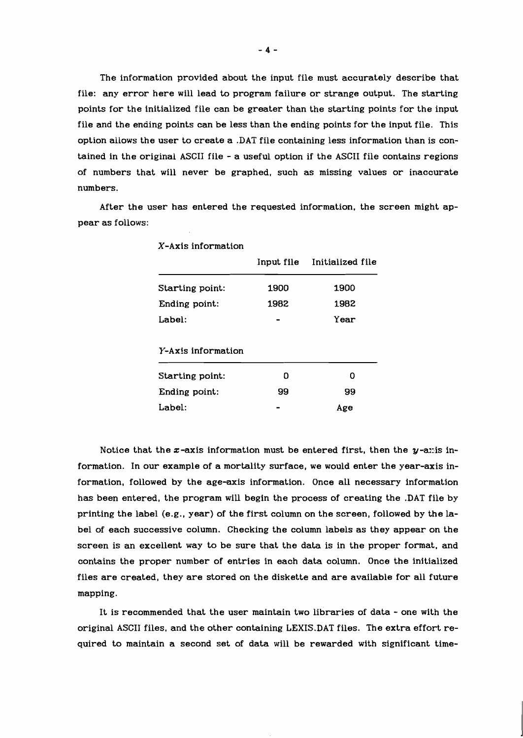The information provided about the input file must accurately describe that file: any error here will lead to program failure or strange output. The starting points for the initialized file can be greater than the starting points for the input file and the ending points can be less than the ending points for the input file. This option allows the user to create a .DAT file containing less information than is contained in the original ASCII file - a useful option if the ASCII file contains regions of numbers that will never be graphed, such as missing values or inaccurate numbers.

After the user has entered the requested information. the screen might appear as follows:

| A AAIS IIIIUI IIIUUIUII |            |                  |  |
|-------------------------|------------|------------------|--|
|                         | Input file | Initialized file |  |
| Starting point:         | 1900       | 1900             |  |
| Ending point:           | 1982       | 1982             |  |
| Label:                  |            | Year             |  |
| Y-Axis information      |            |                  |  |
| Starting point:         | O          | n                |  |
| Ending point:           | 99         | 99               |  |
| Label:                  |            | Age              |  |
|                         |            |                  |  |

X-Axis information

Notice that the  $x$ -axis information must be entered first, then the  $y$ -axis information. In our example of a mortality surface, we would enter the year-axis information, followed by the age-axis information. Once all necessary information has been entered, the program will begin the process of creating the .DAT file by printing the label (e.g., year) of the first column on the screen, followed by the label of each successive column. Checking the column labels as they appear on the screen is an excellent way to be sure that the data is in the proper format, and contains the proper number of entries in each data column. Once the initialized files are created, they are stored on the diskette and are available for all future mapping.

It is recommended that the user maintain two libraries of data - one with the original ASCII files, and the other containing LEXIS.DAT files. The extra effort required to maintain a second set of data will be rewarded with significant time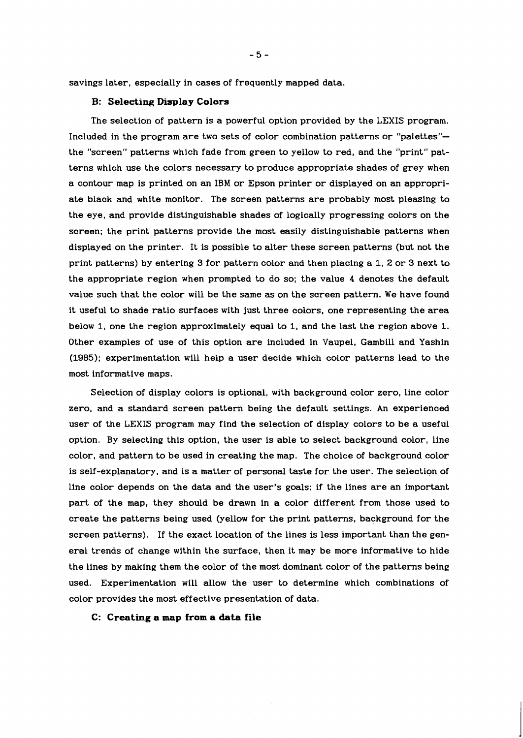savings later, especially in cases of frequently mapped data.

# **B: Selecting Display Colors**

The selection of pattern is a powerful option provided by the LEXIS program. Included in the program are two sets of color combination patterns or "palettes"- the "screen" patterns which fade from green to yellow to red, and the "print" patterns which use the colors necessary to produce appropriate shades of grey when a contour map is printed on an IBM or Epson printer or displayed on an appropriate black and white monitor. The screen patterns are probably most pleasing to the eye, and provide distinguishable shades of logically progressing colors on the screen; the print patterns provide the most easily distinguishable patterns when displayed on the printer. It is possible to alter these screen patterns (but not the print patterns) by entering 3 for pattern color and then placing a 1, 2 or 3 next to the appropriate region when prompted to do so; the value 4 denotes the default value such that the color will be the same as on the screen pattern. We have found it useful to shade ratio surfaces with just three colors, one representing the area below 1, one the region approximately equal to 1, and the last the region above 1. Other examples of use of this option are included in Vaupel, Gambill and Yashin (1985); experimentation will help a user decide which color patterns lead to the most informative maps.

Selection of display colors is optional, with background color zero, line color zero, and a standard screen pattern being the default settings. An experienced user of the LEXIS program may find the selection of display colors to be a useful option. By selecting this option, the user is able to select background color, line color, and pattern to be used in creating the map. The choice of background color is self-explanatory, and is a matter of personal taste for the user. The selection of line color depends on the data and the user's goals: if the lines are an important part of the map, they should be drawn in a color different from those used to create the patterns being used (yellow for the print patterns, background for the screen patterns). If the exact location of the lines is less important than the general trends of change within the surface, then it may be more informative to hide the lines by making them the color of the most dominant color of the patterns being used. Experimentation will allow the user to determine which combinations of color provides the most effective presentation of data.

# **C: Creating a map from a data file**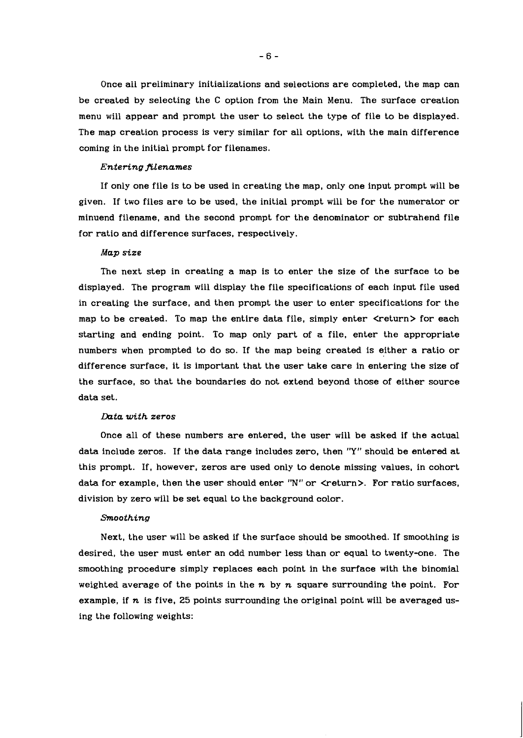Once all preliminary initializations and selections are completed, the map can be created by selecting the C option from the Main Menu. The surface creation menu will appear and prompt the user to select the type of file to be displayed. The map creation process is very similar for all options, with the main difference coming in the initial prompt for filenames.

#### *Entering filenames*

If only one file is to be used in creating the map, only one input prompt will be given. If two files are to be used, the initial prompt will be for the numerator or minuend filename, and the second prompt for the denominator or subtrahend file for ratio and difference surfaces, respectively.

#### *Map size*

The next step in creating a map is to enter the size of the surface to be displayed. The program will display the file specifications of each input file used in creating the surface, and then prompt the user to enter specifications for the map to be created. To map the entire data file, simply enter <return> for each starting and ending point. To map only part of a file, enter the appropriate numbers when prompted to do so. If the map being created is either a ratio or difference surface, it is important that the user take care in entering the size of the surface, so that the boundaries do not extend beyond those of either source data set.

#### *Duta with zeros*

Once all of these numbers are entered, the user will be asked if the actual data include zeros. If the data range includes zero, then "Y" should be entered at this prompt. If, however, zeros are used only to denote missing values, in cohort data for example, then the user should enter "N" or  $\leq$ return>. For ratio surfaces, division by zero will be set equal to the background color.

#### *Smoothing*

Next, the user will be asked if the surface should be smoothed. If smoothing is desired, the user must enter an odd number less than or equal to twenty-one. The smoothing procedure simply replaces each point in the surface with the binomial weighted average of the points in the *n* by *n* square surrounding the point. For example, if *n* is five, *25* points surrounding the original point will be averaged using the following weights: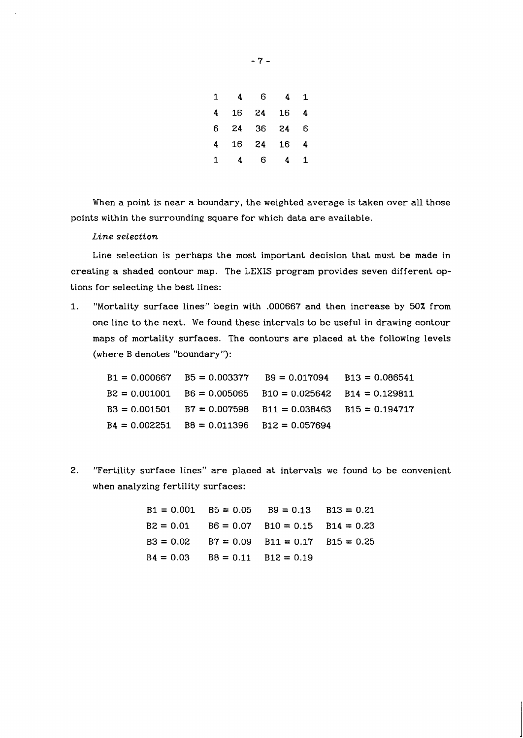| 1 | 4  | 6  | 4  | 1 |
|---|----|----|----|---|
| 4 | 16 | 24 | 16 | 4 |
| 6 | 24 | 36 | 24 | 6 |
| 4 | 16 | 24 | 16 | 4 |
| 1 | 4  | 6  | 4  | 1 |

When a point is near a boundary, the weighted average is taken over all those points within the surrounding square for which data are available.

*Line selection* 

Line selection is perhaps the most important decision that must be made in creating a shaded contour map. The LEXIS program provides seven different options for selecting the best lines:

1. "Mortality surface lines" begin with .000667 and then increase by 50% from one line to the next. We found these intervals to be useful in drawing contour maps of mortality surfaces. The contours are placed at the following levels (where B denotes "boundary "):

 $B1 = 0.000667$  $B5 = 0.003377$  $B9 = 0.017094$  $B13 = 0.086541$  $B2 = 0.001001$  $B6 = 0.005065$  $B10 = 0.025642$  $B14 = 0.129811$  $B3 = 0.001501$  $B7 = 0.007598$  $B11 = 0.038463$  $B15 = 0.194717$  $B4 = 0.002251$  $B12 = 0.057694$  $B8 = 0.011396$ 

2. "Fertility surface lines" are placed at intervals we found to be convenient when analyzing fertility surfaces:

> $B1 = 0.001$   $B5 = 0.05$   $B9 = 0.13$   $B13 = 0.21$  $B2 = 0.01$   $B6 = 0.07$   $B10 = 0.15$   $B14 = 0.23$  $B3 = 0.02$   $B7 = 0.09$   $B11 = 0.17$   $B15 = 0.25$  $B4 = 0.03$   $B8 = 0.11$   $B12 = 0.19$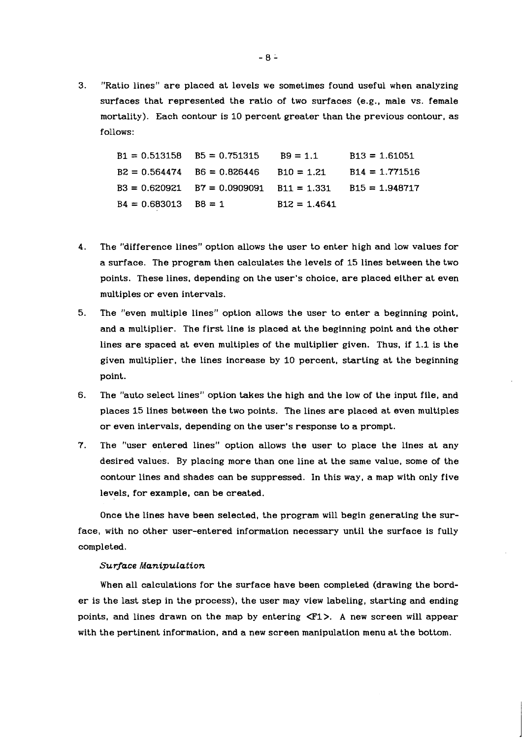3. "Ratio lines" are placed at levels we sometimes found useful when analyzing surfaces that represented the ratio of two surfaces (e.g., male vs. female mortality). Each contour is 10 percent greater than the previous contour, as follows:

> $B1 = 0.513158$   $B5 = 0.751315$   $B9 = 1.1$   $B13 = 1.61051$  $B2 = 0.564474$   $B6 = 0.826446$   $B10 = 1.21$   $B14 = 1.771516$  $B3 = 0.620921$   $B7 = 0.0909091$   $B11 = 1.331$   $B15 = 1.948717$  $B4 = 0.683013$   $B8 = 1$   $B12 = 1.4641$

- 4. The "difference lines" option allows the user to enter high and low values for a surface. The program then calculates the levels of 15 lines between the two points. These lines, depending on the user's choice, are placed either at even multiples or even intervals.
- 5. The "even multiple lines" option allows the user to enter a beginning point, and a multiplier. The first line is placed at the beginning point and the other lines are spaced at even multiples of the multiplier given. Thus, if 1.1 is the given multiplier, the lines increase by 10 percent, starting at the beginning point.
- 6. The "auto select lines" option takes the high and the low of the input file, and places 15 lines between the two points. The lines are placed at even multiples or even intervals, depending on the user's response to a prompt.
- 7. The "user entered lines" option allows the user to place the lines at any desired values. By placing more than one line at the same value, some of the contour lines and shades can be suppressed. In this way, a map with only five levels, for example, can be created.

Once the lines have been selected, the program will begin generating the surface, with no other user-entered information necessary until the surface is fully completed.

## *Surface Manipulation*

When all calculations for the surface have been completed (drawing the border is the last step in the process), the user may view labeling, starting and ending points, and lines drawn on the map by entering  $\langle F1 \rangle$ . A new screen will appear with the pertinent information, and a new screen manipulation menu at the bottom.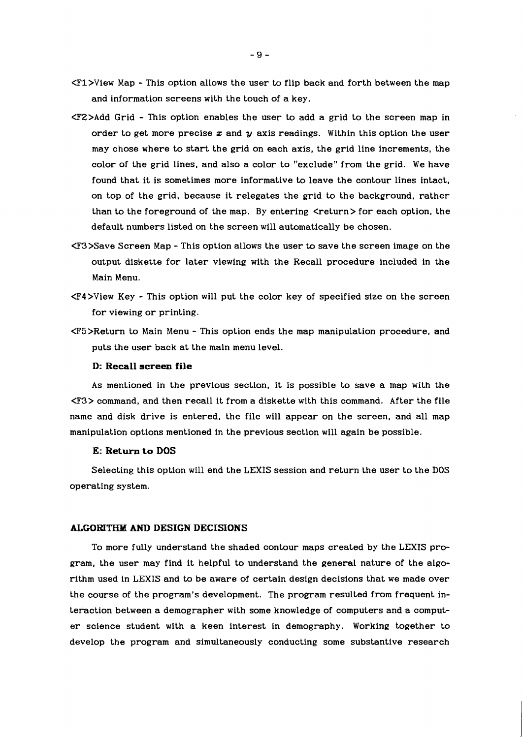- <Fl>View Map This option allows the user to flip back and forth between the map and information screens with the touch of a key.
- <FZ>Add Grid This option enables the user to add a grid to the screen map in order to get more precise **z** and y axis readings. Within this option the user may chose where to start the grid on each axis, the grid line increments, the color of the grid lines, and also a color to "exclude" from the grid. We have found that it is sometimes more informative to leave the contour lines intact, on top of the grid, because it relegates the grid to the background, rather than to the foreground of the map. By entering  $\langle$ return $\rangle$  for each option, the default numbers listed on the screen will automatically be chosen.
- <F3>Save Screen Map This option allows the user to save the screen image on the output diskette for later viewing with the Recall procedure included in the Main Menu.
- <F4>View Key This option will put the color key of specified size on the screen for viewing or printing.
- <F5>Return to Main Menu This option ends the map manipulation procedure, and puts the user back at the main menu level.

#### **D: Recall screen file**

As mentioned in the previous section, it is possible to save a map with the <F3> command, and then recall it from a diskette with this command. After the file name and disk drive is entered, the file will appear on the screen, and all map manipulation options mentioned in the previous section will again be possible.

# **E: Return to DOS**

Selecting this option will end the LEXIS session and return the user to the DOS operating system.

# **ALGORITHM AND DESIGN DECISIONS**

To more fully understand the shaded contour maps created by the LEXIS program, the user may find it helpful to understand the general nature of the algorithm used in LEXIS and to be aware of certain design decisions that we made over the course of the program's development. The program resulted from frequent interaction between a demographer with some knowledge of computers and a computer science student with a keen interest in demography. Working together to develop the program and simultaneously conducting some substantive research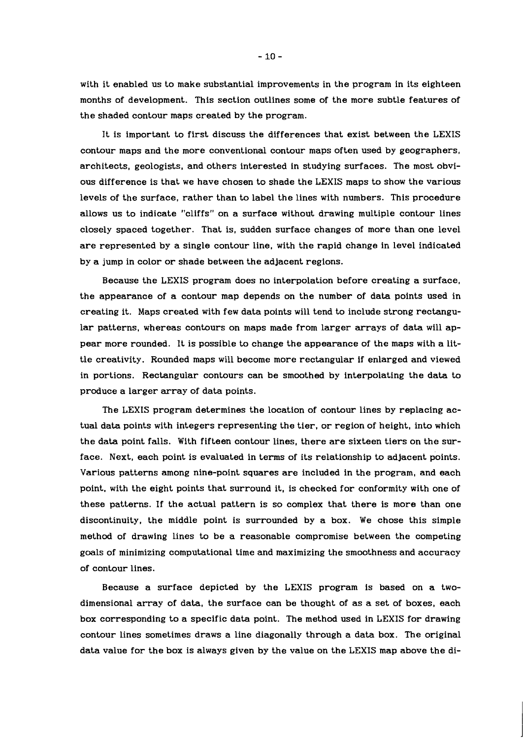with it enabled us to make substantial improvements in the program in its eighteen months of development. This section outlines some of the more subtle features of the shaded contour maps created by the program.

It is important to first discuss the differences that exist between the LEXIS contour maps and the more conventional contour maps often used by geographers, architects, geologists, and others interested in studying surfaces. The most obvious difference is that we have chosen to shade the LEXIS maps to show the various levels of the surface, rather than to label the lines with numbers. This procedure allows us to indicate "cliffs" on a surface without drawing multiple contour lines closely spaced together. That is, sudden surface changes of more than one level are represented by a single contour line, with the rapid change in level indicated by a jump in color or shade between the adjacent regions.

Because the LEXIS program does no interpolation before creating a surface, the appearance of a contour map depends on the number of data points used in creating it. Maps created with few data points will tend to include strong rectangular patterns, whereas contours on maps made from larger arrays of data will appear more rounded. It is possible to change the appearance of the maps with a little creativity. Rounded maps will become more rectangular if enlarged and viewed in portions. Rectangular contours can be smoothed by interpolating the data to produce a larger array of data points.

The LEXIS program determines the location of contour lines by replacing actual data points with integers representing the tier, or region of height, into which the data point falls. With fifteen contour lines, there are sixteen tiers on the surface. Next, each point is evaluated in terms of its relationship to adjacent points. Various patterns among nine-point squares are included in the program, and each point, with the eight points that surround it, is checked for conformity with one of these patterns. If the actual pattern is so complex that there is more than one discontinuity, the middle point is surrounded by a box. We chose this simple method of drawing lines to be a reasonable compromise between the competing goals of minimizing computational time and maximizing the smoothness and accuracy of contour lines.

Because a surface depicted by the LEXIS program is based on a twodimensional array of data, the surface can be thought of as a set of boxes, each box corresponding to a specific data point. The method used in LEXIS for drawing contour lines sometimes draws a line diagonally through a data box. The original data value for the box is always given by the value on the LEXIS map above the di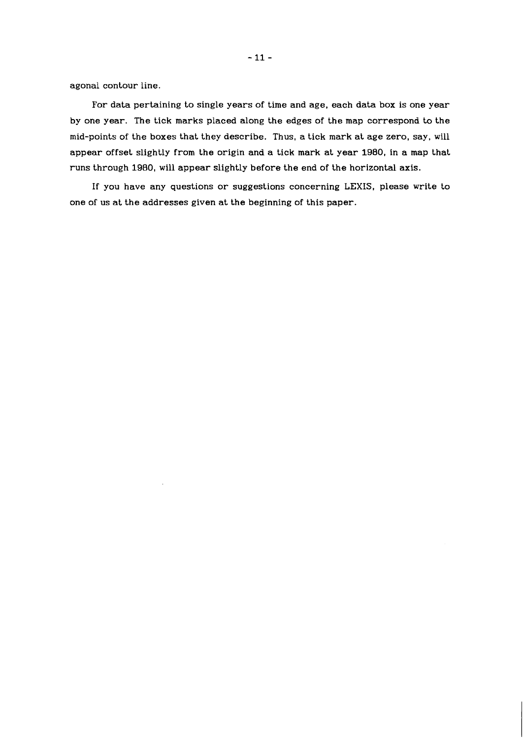agonal contour line.

For data pertaining to single years of time and age, each data box is one year by one year, The tick marks placed along the edges of the map correspond to the mid-points of the boxes that they describe. Thus, a tick mark at age zero, say, will appear offset slightly from the origin and a tick mark at year 1980, in a map that runs through 1980, will appear slightly before the end of the horizontal axis.

If you have any questions or suggestions concerning **LEXIS,** please write to one of us at the addresses given at the beginning of this paper.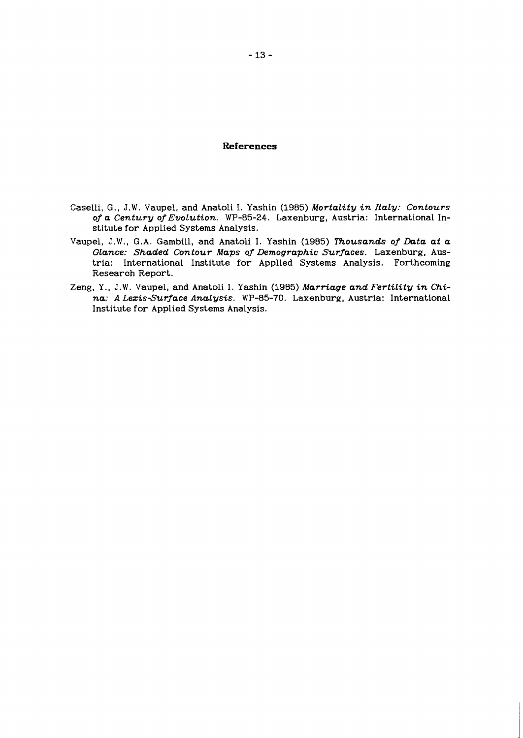# **References**

- Caselli, G., J.W. Vaupel, and Anatoli I. Yashin **(1985)** *MortaLity in ItaLy: Contours of a Century of EvoLution.* **WP-85-24.** Laxenburg, Austria: International Institute for Applied Systems Analysis.
- Vaupel, J.W., G.A. Gambill, and Anatoli I. Yashin **(1985)** *i"housands of Data at a Glance: Shaded Contour Maps of Demographic Surfaces.* Laxenburg, Austria: International Institute for Applied Systems Analysis. Forthcoming Research Report.
- Zeng, Y., J.W. Vaupel, and Anatoli I. Yashin (1985) Marriage and Fertility in Chi*na: A Lezis-Surface Analysis.* **WP-85-70.** Laxenburg, Austria: International Institute for Applied Systems Analysis.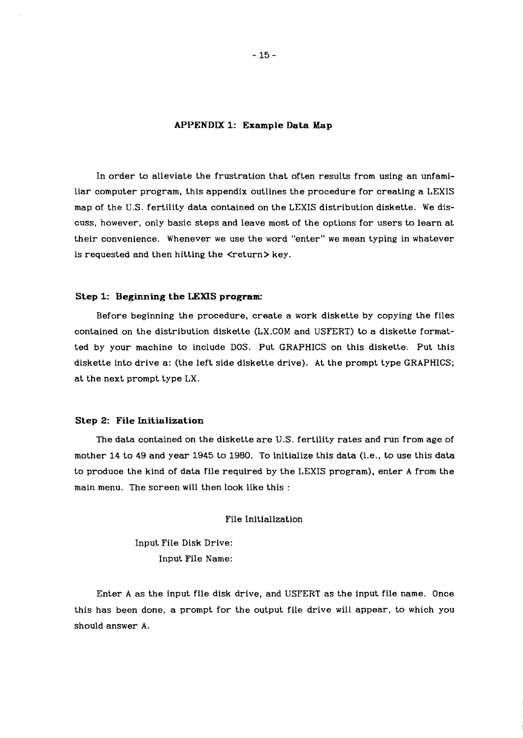#### **APPENDIX 1: Example Data Map**

In order to alleviate the frustration that often results from using an unfamiliar computer program, this appendix outlines the procedure for creating a LEXIS map of the U.S. fertility data contained on the LEXIS distribution diskette. We discuss, however, only basic steps and leave most of the options for users to learn at their convenience. Whenever we use the word "enter" we mean typing in whatever is requested and then hitting the <return>key.

# **Step 1: Beginning the LEXIS program:**

Before beginning the procedure, create a work diskette by copying the files contained on the distribution diskette (LX.COM and USFERT) to a diskette formatted by your machine to include DOS. Put GRAPHICS on this diskette. Put this diskette into drive a: (the left side diskette drive). At the prompt type GRAPHICS; at the next prompt type LX.

#### **Step 2: File Initialization**

The data contained on the diskette are U.S. fertility rates and run from age of mother 14 to 49 and year 1945 to 1980. To initialize this data (i.e., to use this data to produce the kind of data file required by the LEXIS program), enter A from the main menu. The screen will then look like this :

# File Initialization

Input File Disk Drive: Input File Name:

Enter A as the input file disk drive, and USFERT as the input file name. Once this has been done, a prompt for the output file drive will appear, to which you should answer A.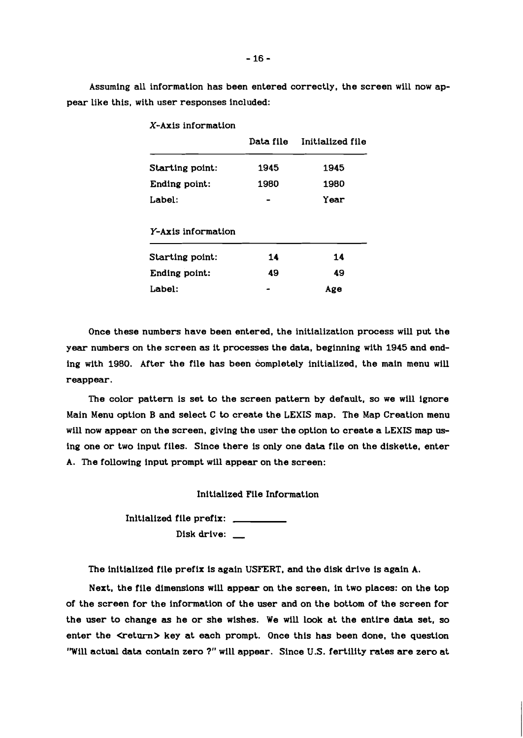Assuming all information has been entered correctly, the screen will now appear like this, with user responses included:

|                    | Data file | Initialized file |
|--------------------|-----------|------------------|
| Starting point:    | 1945      | 1945             |
| Ending point:      | 1980      | 1980             |
| Label:             |           | Year             |
| Y-Axis information |           |                  |
| Starting point:    | 14        | 14               |
| Ending point:      | 49        | 49               |
| Label:             |           | Age              |

X-Axis information

Once these numbers have been entered, the initialization process will put the year numbers on the screen as it processes the data, beginning with 1945 and ending with 1980. After the file has been completely initialized, the main menu will reappear.

The color pattern is set to the screen pattern by default, so we will ignore Main Menu option B and select C to create the LEXIS map. The Map Creation menu will now appear on the screen. giving the user the option to create a LEXIS map using one or two input files. Since there is only one data file on the diskette, enter A. The following input prompt will appear on the screen:

Initialized File Information

Initialized file prefix: file prefix: \_\_\_\_<br>Disk drive: \_\_

The initialized file prefix is again USFERT, and the disk drive is again A.

Next, the file dimensions will appear on the screen, in two places: on the top of the screen for the information of the user and on the bottom of the screen for the user to change **as** he or she wishes. We will look at the entire **data** set, so enter the  $\leq$ return $>$  key at each prompt. Once this has been done, the question 'Will actual data contain zero ?" will appear. Since **U.S.** fertility rates are zero at